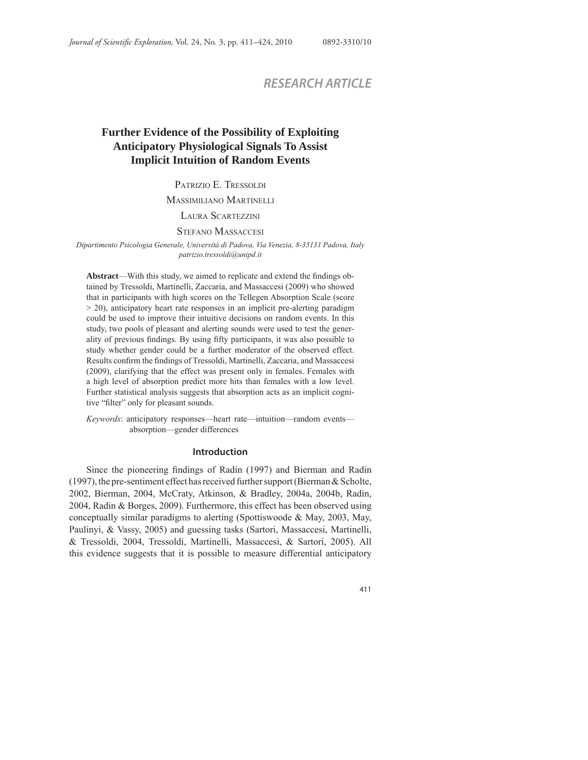# *RESEARCH ARTICLE*

# **Further Evidence of the Possibility of Exploiting Anticipatory Physiological Signals To Assist Implicit Intuition of Random Events**

PATRIZIO E. TRESSOLDI

MASSIMILIANO MARTINELLI

LAURA SCARTEZZINI

## STEFANO MASSACCESI

*Dipartimento Psicologia Generale, Università di Padova, Via Venezia, 8-35131 Padova, Italy patrizio.tressoldi@unipd.it*

Abstract—With this study, we aimed to replicate and extend the findings obtained by Tressoldi, Martinelli, Zaccaria, and Massaccesi (2009) who showed that in participants with high scores on the Tellegen Absorption Scale (score > 20), anticipatory heart rate responses in an implicit pre-alerting paradigm could be used to improve their intuitive decisions on random events. In this study, two pools of pleasant and alerting sounds were used to test the generality of previous findings. By using fifty participants, it was also possible to study whether gender could be a further moderator of the observed effect. Results confirm the findings of Tressoldi, Martinelli, Zaccaria, and Massaccesi (2009), clarifying that the effect was present only in females. Females with a high level of absorption predict more hits than females with a low level. Further statistical analysis suggests that absorption acts as an implicit cognitive "filter" only for pleasant sounds.

*Keywords*: anticipatory responses—heart rate—intuition—random events absorption—gender differences

## **Introduction**

Since the pioneering findings of Radin (1997) and Bierman and Radin (1997), the pre-sentiment effect has received further support (Bierman & Scholte, 2002, Bierman, 2004, McCraty, Atkinson, & Bradley, 2004a, 2004b, Radin, 2004, Radin & Borges, 2009). Furthermore, this effect has been observed using conceptually similar paradigms to alerting (Spottiswoode & May, 2003, May, Paulinyi, & Vassy, 2005) and guessing tasks (Sartori, Massaccesi, Martinelli, & Tressoldi, 2004, Tressoldi, Martinelli, Massaccesi, & Sartori, 2005). All this evidence suggests that it is possible to measure differential anticipatory

411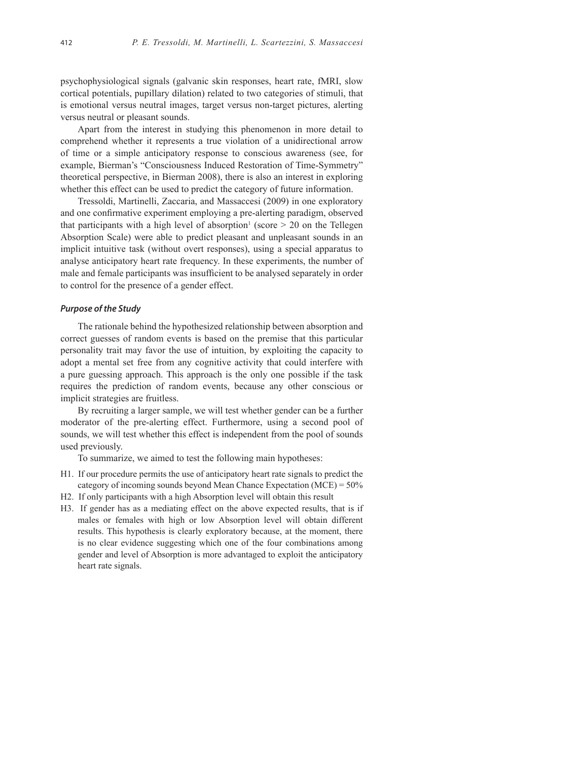psychophysiological signals (galvanic skin responses, heart rate, fMRI, slow cortical potentials, pupillary dilation) related to two categories of stimuli, that is emotional versus neutral images, target versus non-target pictures, alerting versus neutral or pleasant sounds.

Apart from the interest in studying this phenomenon in more detail to comprehend whether it represents a true violation of a unidirectional arrow of time or a simple anticipatory response to conscious awareness (see, for example, Bierman's "Consciousness Induced Restoration of Time-Symmetry" theoretical perspective, in Bierman 2008), there is also an interest in exploring whether this effect can be used to predict the category of future information.

Tressoldi, Martinelli, Zaccaria, and Massaccesi (2009) in one exploratory and one confirmative experiment employing a pre-alerting paradigm, observed that participants with a high level of absorption<sup>1</sup> (score  $> 20$  on the Tellegen Absorption Scale) were able to predict pleasant and unpleasant sounds in an implicit intuitive task (without overt responses), using a special apparatus to analyse anticipatory heart rate frequency. In these experiments, the number of male and female participants was insufficient to be analysed separately in order to control for the presence of a gender effect.

## *Purpose of the Study*

The rationale behind the hypothesized relationship between absorption and correct guesses of random events is based on the premise that this particular personality trait may favor the use of intuition, by exploiting the capacity to adopt a mental set free from any cognitive activity that could interfere with a pure guessing approach. This approach is the only one possible if the task requires the prediction of random events, because any other conscious or implicit strategies are fruitless.

By recruiting a larger sample, we will test whether gender can be a further moderator of the pre-alerting effect. Furthermore, using a second pool of sounds, we will test whether this effect is independent from the pool of sounds used previously.

To summarize, we aimed to test the following main hypotheses:

- H1. If our procedure permits the use of anticipatory heart rate signals to predict the category of incoming sounds beyond Mean Chance Expectation (MCE) = 50%
- H2. If only participants with a high Absorption level will obtain this result
- H3. If gender has as a mediating effect on the above expected results, that is if males or females with high or low Absorption level will obtain different results. This hypothesis is clearly exploratory because, at the moment, there is no clear evidence suggesting which one of the four combinations among gender and level of Absorption is more advantaged to exploit the anticipatory heart rate signals.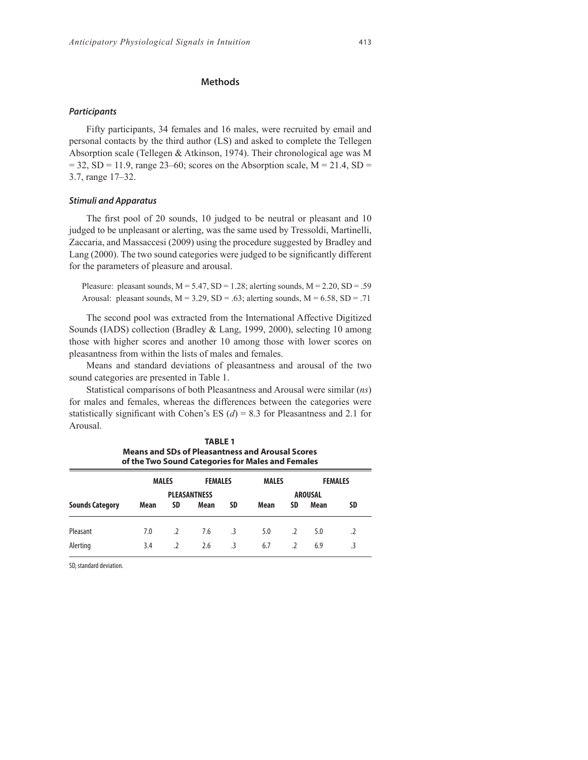#### *Participants*

Fifty participants, 34 females and 16 males, were recruited by email and personal contacts by the third author (LS) and asked to complete the Tellegen Absorption scale (Tellegen & Atkinson, 1974). Their chronological age was M  $= 32$ , SD = 11.9, range 23–60; scores on the Absorption scale, M = 21.4, SD = 3.7, range 17–32.

# *Stimuli and Apparatus*

The first pool of 20 sounds, 10 judged to be neutral or pleasant and 10 judged to be unpleasant or alerting, was the same used by Tressoldi, Martinelli, Zaccaria, and Massaccesi (2009) using the procedure suggested by Bradley and Lang (2000). The two sound categories were judged to be significantly different for the parameters of pleasure and arousal.

Pleasure: pleasant sounds,  $M = 5.47$ ,  $SD = 1.28$ ; alerting sounds,  $M = 2.20$ ,  $SD = .59$ Arousal: pleasant sounds,  $M = 3.29$ ,  $SD = .63$ ; alerting sounds,  $M = 6.58$ ,  $SD = .71$ 

The second pool was extracted from the International Affective Digitized Sounds (IADS) collection (Bradley & Lang, 1999, 2000), selecting 10 among those with higher scores and another 10 among those with lower scores on pleasantness from within the lists of males and females.

Means and standard deviations of pleasantness and arousal of the two sound categories are presented in Table 1.

Statistical comparisons of both Pleasantness and Arousal were similar (*ns*) for males and females, whereas the differences between the categories were statistically significant with Cohen's ES  $(d) = 8.3$  for Pleasantness and 2.1 for Arousal.

**TABLE 1**

| <b>Means and SDs of Pleasantness and Arousal Scores</b><br>of the Two Sound Categories for Males and Females |                                |                     |              |           |                |                          |                |           |
|--------------------------------------------------------------------------------------------------------------|--------------------------------|---------------------|--------------|-----------|----------------|--------------------------|----------------|-----------|
|                                                                                                              | <b>MALES</b><br><b>FEMALES</b> |                     | <b>MALES</b> |           | <b>FEMALES</b> |                          |                |           |
|                                                                                                              |                                | <b>PLEASANTNESS</b> |              |           |                |                          | <b>AROUSAL</b> |           |
| <b>Sounds Category</b>                                                                                       | Mean                           | <b>SD</b>           | Mean         | <b>SD</b> | Mean           | <b>SD</b>                | Mean           | <b>SD</b> |
| Pleasant                                                                                                     | 7.0                            | .2                  | 7.6          | $\cdot$ 3 | 5.0            | $\cdot$                  | 5.0            |           |
| Alerting                                                                                                     | 3.4                            | $\mathcal{L}$       | 2.6          | -3        | 6.7            | $\overline{\phantom{a}}$ | 6.9            |           |

SD, standard deviation.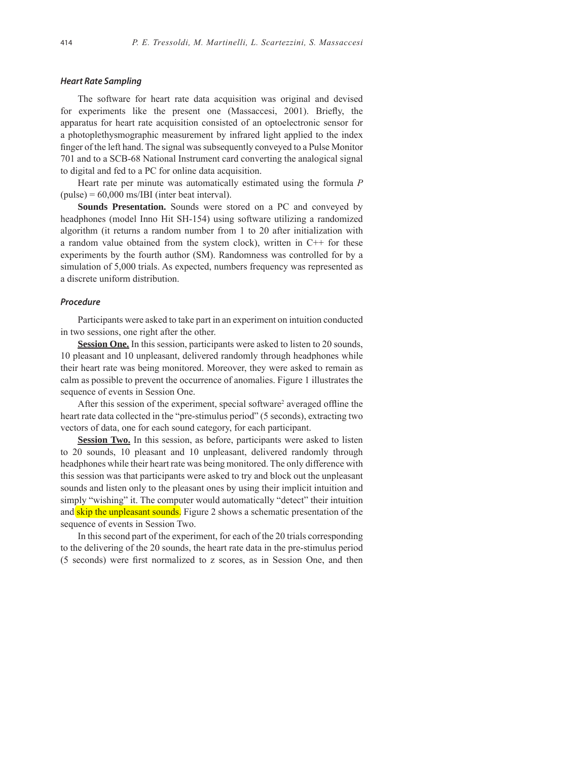## *Heart Rate Sampling*

The software for heart rate data acquisition was original and devised for experiments like the present one (Massaccesi, 2001). Briefly, the apparatus for heart rate acquisition consisted of an optoelectronic sensor for a photoplethysmographic measurement by infrared light applied to the index finger of the left hand. The signal was subsequently conveyed to a Pulse Monitor 701 and to a SCB-68 National Instrument card converting the analogical signal to digital and fed to a PC for online data acquisition.

Heart rate per minute was automatically estimated using the formula *P*   $(pulse) = 60,000$  ms/IBI (inter beat interval).

**Sounds Presentation.** Sounds were stored on a PC and conveyed by headphones (model Inno Hit SH-154) using software utilizing a randomized algorithm (it returns a random number from 1 to 20 after initialization with a random value obtained from the system clock), written in  $C++$  for these experiments by the fourth author (SM). Randomness was controlled for by a simulation of 5,000 trials. As expected, numbers frequency was represented as a discrete uniform distribution.

#### *Procedure*

Participants were asked to take part in an experiment on intuition conducted in two sessions, one right after the other.

**Session One.** In this session, participants were asked to listen to 20 sounds, 10 pleasant and 10 unpleasant, delivered randomly through headphones while their heart rate was being monitored. Moreover, they were asked to remain as calm as possible to prevent the occurrence of anomalies. Figure 1 illustrates the sequence of events in Session One.

After this session of the experiment, special software<sup>2</sup> averaged offline the heart rate data collected in the "pre-stimulus period" (5 seconds), extracting two vectors of data, one for each sound category, for each participant.

**Session Two.** In this session, as before, participants were asked to listen to 20 sounds, 10 pleasant and 10 unpleasant, delivered randomly through headphones while their heart rate was being monitored. The only difference with this session was that participants were asked to try and block out the unpleasant sounds and listen only to the pleasant ones by using their implicit intuition and simply "wishing" it. The computer would automatically "detect" their intuition and skip the unpleasant sounds. Figure 2 shows a schematic presentation of the sequence of events in Session Two.

In this second part of the experiment, for each of the 20 trials corresponding to the delivering of the 20 sounds, the heart rate data in the pre-stimulus period (5 seconds) were first normalized to z scores, as in Session One, and then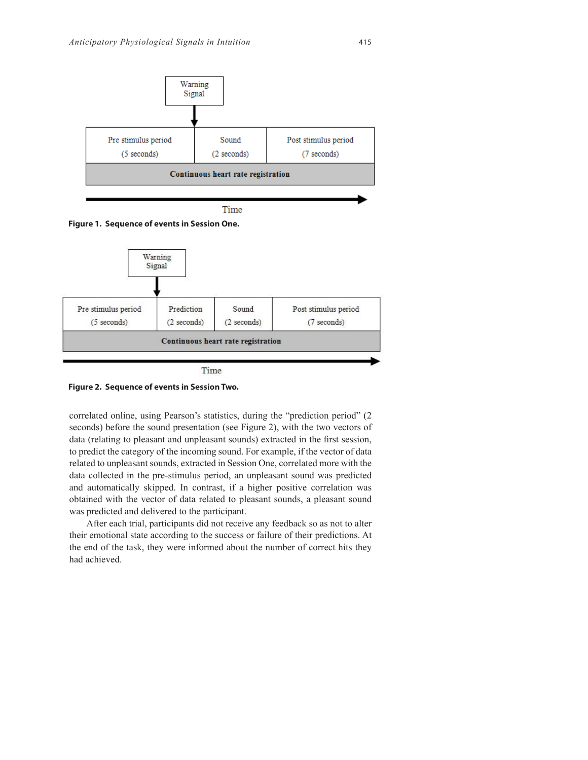







correlated online, using Pearson's statistics, during the "prediction period" (2 seconds) before the sound presentation (see Figure 2), with the two vectors of data (relating to pleasant and unpleasant sounds) extracted in the first session, to predict the category of the incoming sound. For example, if the vector of data related to unpleasant sounds, extracted in Session One, correlated more with the data collected in the pre-stimulus period, an unpleasant sound was predicted and automatically skipped. In contrast, if a higher positive correlation was obtained with the vector of data related to pleasant sounds, a pleasant sound was predicted and delivered to the participant.

After each trial, participants did not receive any feedback so as not to alter their emotional state according to the success or failure of their predictions. At the end of the task, they were informed about the number of correct hits they had achieved.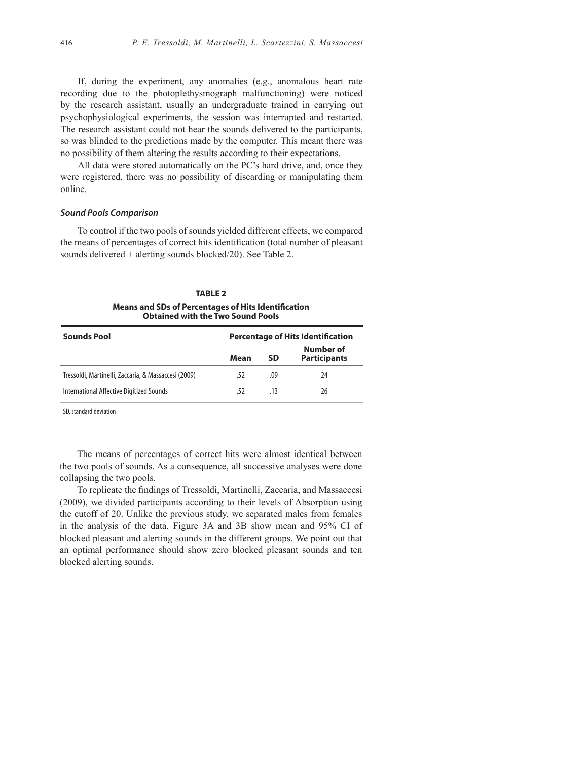If, during the experiment, any anomalies (e.g., anomalous heart rate recording due to the photoplethysmograph malfunctioning) were noticed by the research assistant, usually an undergraduate trained in carrying out psychophysiological experiments, the session was interrupted and restarted. The research assistant could not hear the sounds delivered to the participants, so was blinded to the predictions made by the computer. This meant there was no possibility of them altering the results according to their expectations.

All data were stored automatically on the PC's hard drive, and, once they were registered, there was no possibility of discarding or manipulating them online.

#### *Sound Pools Comparison*

To control if the two pools of sounds yielded different effects, we compared the means of percentages of correct hits identification (total number of pleasant sounds delivered + alerting sounds blocked/20). See Table 2.

# **TABLE 2 Means and SDs of Percentages of Hits Identification Obtained with the Two Sound Pools**

| <b>Sounds Pool</b>                                   | <b>Percentage of Hits Identification</b> |           |                                  |  |
|------------------------------------------------------|------------------------------------------|-----------|----------------------------------|--|
|                                                      | Mean                                     | <b>SD</b> | Number of<br><b>Participants</b> |  |
| Tressoldi, Martinelli, Zaccaria, & Massaccesi (2009) | .52                                      | .09       | 24                               |  |
| International Affective Digitized Sounds             | .52                                      | .13       | 26                               |  |

SD, standard deviation

The means of percentages of correct hits were almost identical between the two pools of sounds. As a consequence, all successive analyses were done collapsing the two pools.

To replicate the findings of Tressoldi, Martinelli, Zaccaria, and Massaccesi (2009), we divided participants according to their levels of Absorption using the cutoff of 20. Unlike the previous study, we separated males from females in the analysis of the data. Figure 3A and 3B show mean and 95% CI of blocked pleasant and alerting sounds in the different groups. We point out that an optimal performance should show zero blocked pleasant sounds and ten blocked alerting sounds.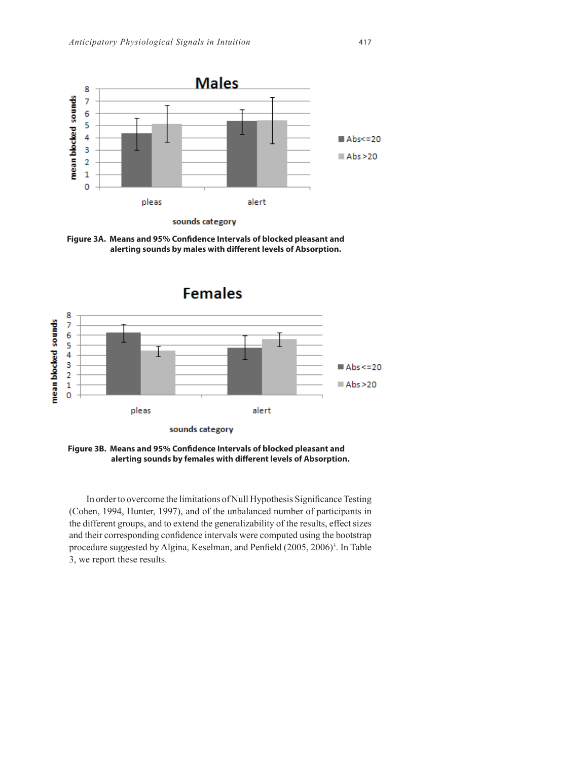

Figure 3A. Means and 95% Confidence Intervals of blocked pleasant and alerting sounds by males with different levels of Absorption.



Figure 3B. Means and 95% Confidence Intervals of blocked pleasant and alerting sounds by females with different levels of Absorption.

In order to overcome the limitations of Null Hypothesis Significance Testing (Cohen, 1994, Hunter, 1997), and of the unbalanced number of participants in the different groups, and to extend the generalizability of the results, effect sizes and their corresponding confidence intervals were computed using the bootstrap procedure suggested by Algina, Keselman, and Penfield (2005, 2006)<sup>3</sup>. In Table 3, we report these results.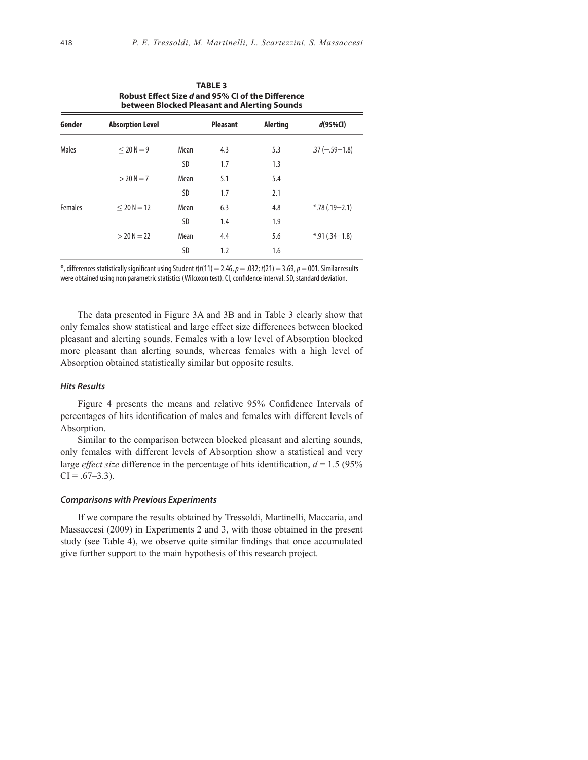| <b>TABLE 3</b><br>Robust Effect Size d and 95% CI of the Difference<br>between Blocked Pleasant and Alerting Sounds |                         |      |                 |          |                    |
|---------------------------------------------------------------------------------------------------------------------|-------------------------|------|-----------------|----------|--------------------|
| Gender                                                                                                              | <b>Absorption Level</b> |      | <b>Pleasant</b> | Alerting | $d(95\%CI)$        |
| Males                                                                                                               | $< 20 N = 9$            | Mean | 4.3             | 5.3      | $.37 (-.59 - 1.8)$ |
|                                                                                                                     |                         | SD   | 1.7             | 1.3      |                    |
|                                                                                                                     | $> 20 N = 7$            | Mean | 5.1             | 5.4      |                    |
|                                                                                                                     |                         | SD   | 1.7             | 2.1      |                    |
| <b>Females</b>                                                                                                      | $< 20 N = 12$           | Mean | 6.3             | 4.8      | $*$ .78 (.19-2.1)  |
|                                                                                                                     |                         | SD   | 1.4             | 1.9      |                    |
|                                                                                                                     | $> 20 N = 22$           | Mean | 4.4             | 5.6      | $*$ .91 (.34-1.8)  |
|                                                                                                                     |                         | SD   | 1.2             | 1.6      |                    |

 $*$ , differences statistically significant using Student  $t(t(11) = 2.46$ ,  $p = .032$ ;  $t(21) = 3.69$ ,  $p = 001$ . Similar results were obtained using non parametric statistics (Wilcoxon test). CI, confidence interval. SD, standard deviation.

The data presented in Figure 3A and 3B and in Table 3 clearly show that only females show statistical and large effect size differences between blocked pleasant and alerting sounds. Females with a low level of Absorption blocked more pleasant than alerting sounds, whereas females with a high level of Absorption obtained statistically similar but opposite results.

# *Hits Results*

Figure 4 presents the means and relative 95% Confidence Intervals of percentages of hits identification of males and females with different levels of Absorption.

Similar to the comparison between blocked pleasant and alerting sounds, only females with different levels of Absorption show a statistical and very large *effect size* difference in the percentage of hits identification,  $d = 1.5$  (95%)  $CI = .67 - 3.3$ ).

#### *Comparisons with Previous Experiments*

If we compare the results obtained by Tressoldi, Martinelli, Maccaria, and Massaccesi (2009) in Experiments 2 and 3, with those obtained in the present study (see Table 4), we observe quite similar findings that once accumulated give further support to the main hypothesis of this research project.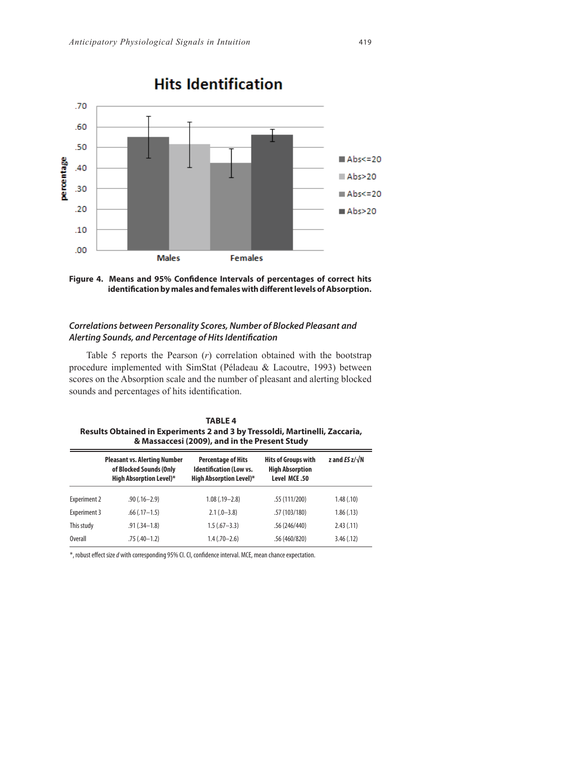



# *Correlations between Personality Scores, Number of Blocked Pleasant and*  Alerting Sounds, and Percentage of Hits Identification

Table 5 reports the Pearson (*r*) correlation obtained with the bootstrap procedure implemented with SimStat (Péladeau & Lacoutre, 1993) between scores on the Absorption scale and the number of pleasant and alerting blocked sounds and percentages of hits identification.

| <b>TABLE 4</b>                                                              |
|-----------------------------------------------------------------------------|
| Results Obtained in Experiments 2 and 3 by Tressoldi, Martinelli, Zaccaria, |
| & Massaccesi (2009), and in the Present Study                               |

|                     | <b>Pleasant vs. Alerting Number</b><br>of Blocked Sounds (Only<br><b>High Absorption Level)*</b> | <b>Percentage of Hits</b><br><b>Identification (Low vs.</b><br><b>High Absorption Level)*</b> | <b>Hits of Groups with</b><br><b>High Absorption</b><br>Level MCE.50 | z and $ES z/\sqrt{N}$ |
|---------------------|--------------------------------------------------------------------------------------------------|-----------------------------------------------------------------------------------------------|----------------------------------------------------------------------|-----------------------|
| <b>Experiment 2</b> | $.90(.16 - 2.9)$                                                                                 | $1.08$ $(.19 - 2.8)$                                                                          | .55(111/200)                                                         | 1.48(0.10)            |
| Experiment 3        | $.66$ $(.17-1.5)$                                                                                | $2.1(.0-3.8)$                                                                                 | .57(103/180)                                                         | 1.86(.13)             |
| This study          | $.91(.34 - 1.8)$                                                                                 | $1.5(.67 - 3.3)$                                                                              | .56 (246/440)                                                        | 2.43(.11)             |
| <b>Overall</b>      | $.75(.40-1.2)$                                                                                   | $1.4(.70 - 2.6)$                                                                              | .56 (460/820)                                                        | 3.46(.12)             |

\*, robust eff ect size *d* with corresponding 95% CI. CI, confi dence interval. MCE, mean chance expectation.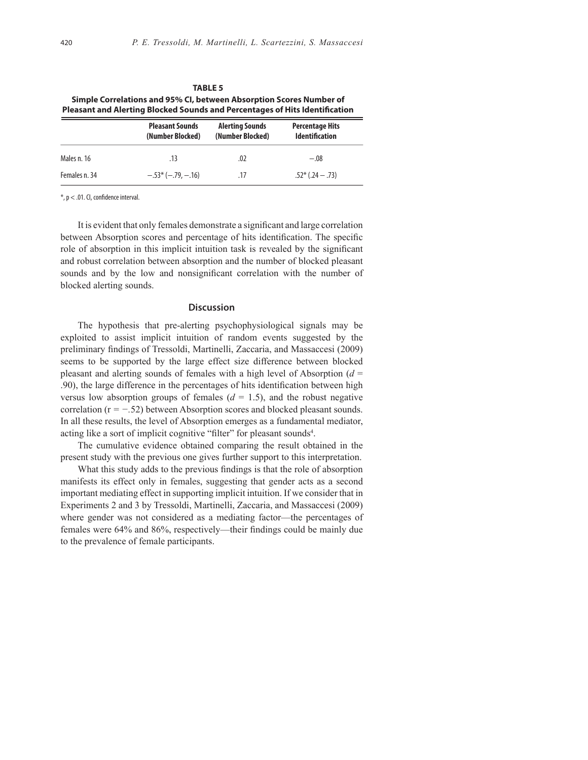| .<br>Simple Correlations and 95% CI, between Absorption Scores Number of<br>Pleasant and Alerting Blocked Sounds and Percentages of Hits Identification |                                            |                                            |                                                 |  |  |
|---------------------------------------------------------------------------------------------------------------------------------------------------------|--------------------------------------------|--------------------------------------------|-------------------------------------------------|--|--|
|                                                                                                                                                         | <b>Pleasant Sounds</b><br>(Number Blocked) | <b>Alerting Sounds</b><br>(Number Blocked) | <b>Percentage Hits</b><br><b>Identification</b> |  |  |
| Males n. 16                                                                                                                                             | .13                                        | .02                                        | $-.08$                                          |  |  |
| Females n. 34                                                                                                                                           | $-.53*(-.79, -.16)$                        | .17                                        | $.52*(.24-.73)$                                 |  |  |

**TABLE 5**

 $*$ ,  $p < .01$ . Cl, confidence interval.

It is evident that only females demonstrate a significant and large correlation between Absorption scores and percentage of hits identification. The specific role of absorption in this implicit intuition task is revealed by the significant and robust correlation between absorption and the number of blocked pleasant sounds and by the low and nonsignificant correlation with the number of blocked alerting sounds.

## **Discussion**

The hypothesis that pre-alerting psychophysiological signals may be exploited to assist implicit intuition of random events suggested by the preliminary findings of Tressoldi, Martinelli, Zaccaria, and Massaccesi (2009) seems to be supported by the large effect size difference between blocked pleasant and alerting sounds of females with a high level of Absorption (*d* = .90), the large difference in the percentages of hits identification between high versus low absorption groups of females  $(d = 1.5)$ , and the robust negative correlation (r *= −.*52) between Absorption scores and blocked pleasant sounds. In all these results, the level of Absorption emerges as a fundamental mediator, acting like a sort of implicit cognitive "filter" for pleasant sounds<sup>4</sup>.

The cumulative evidence obtained comparing the result obtained in the present study with the previous one gives further support to this interpretation.

What this study adds to the previous findings is that the role of absorption manifests its effect only in females, suggesting that gender acts as a second important mediating effect in supporting implicit intuition. If we consider that in Experiments 2 and 3 by Tressoldi, Martinelli, Zaccaria, and Massaccesi (2009) where gender was not considered as a mediating factor—the percentages of females were 64% and 86%, respectively—their findings could be mainly due to the prevalence of female participants.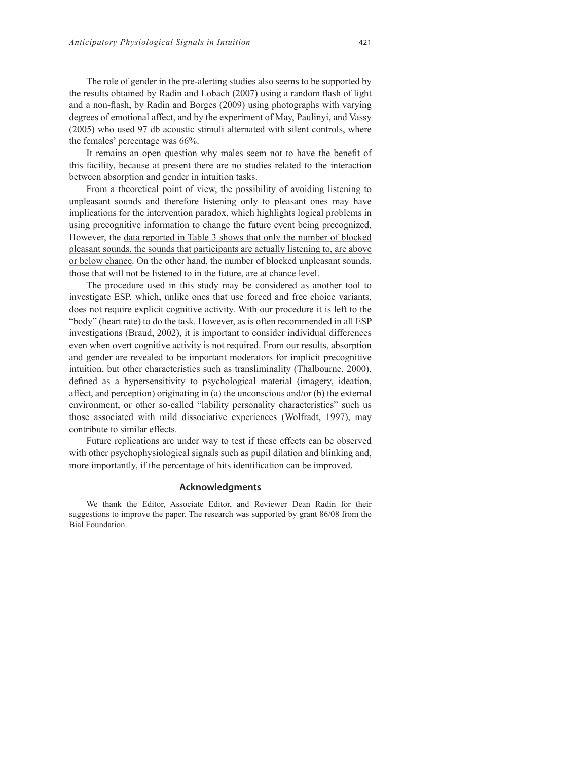The role of gender in the pre-alerting studies also seems to be supported by the results obtained by Radin and Lobach (2007) using a random flash of light and a non-flash, by Radin and Borges (2009) using photographs with varying degrees of emotional affect, and by the experiment of May, Paulinyi, and Vassy (2005) who used 97 db acoustic stimuli alternated with silent controls, where the females' percentage was 66%.

It remains an open question why males seem not to have the benefit of this facility, because at present there are no studies related to the interaction between absorption and gender in intuition tasks.

From a theoretical point of view, the possibility of avoiding listening to unpleasant sounds and therefore listening only to pleasant ones may have implications for the intervention paradox, which highlights logical problems in using precognitive information to change the future event being precognized. However, the data reported in Table 3 shows that only the number of blocked pleasant sounds, the sounds that participants are actually listening to, are above or below chance. On the other hand, the number of blocked unpleasant sounds, those that will not be listened to in the future, are at chance level.

The procedure used in this study may be considered as another tool to investigate ESP, which, unlike ones that use forced and free choice variants, does not require explicit cognitive activity. With our procedure it is left to the "body" (heart rate) to do the task. However, as is often recommended in all ESP investigations (Braud, 2002), it is important to consider individual differences even when overt cognitive activity is not required. From our results, absorption and gender are revealed to be important moderators for implicit precognitive intuition, but other characteristics such as transliminality (Thalbourne, 2000), defined as a hypersensitivity to psychological material (imagery, ideation, affect, and perception) originating in (a) the unconscious and/or (b) the external environment, or other so-called "lability personality characteristics" such us those associated with mild dissociative experiences (Wolfradt, 1997), may contribute to similar effects.

Future replications are under way to test if these effects can be observed with other psychophysiological signals such as pupil dilation and blinking and, more importantly, if the percentage of hits identification can be improved.

#### **Acknowledgments**

We thank the Editor, Associate Editor, and Reviewer Dean Radin for their suggestions to improve the paper. The research was supported by grant 86/08 from the Bial Foundation.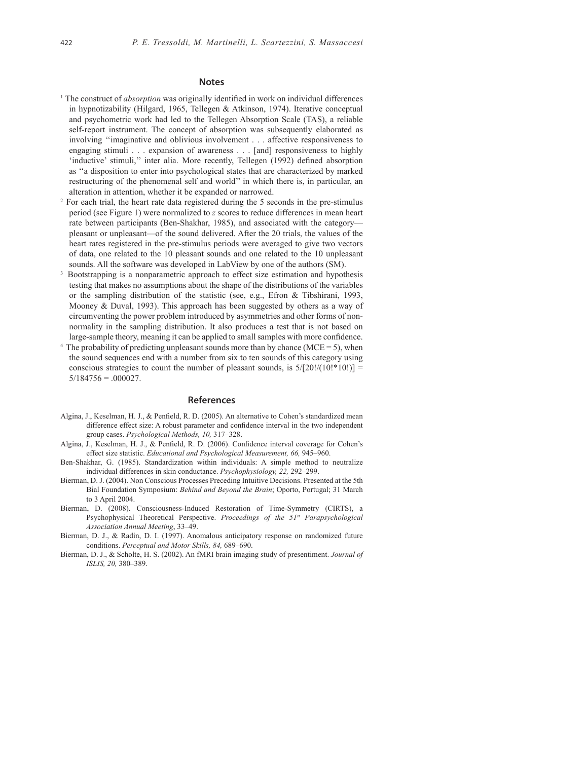#### **Notes**

- <sup>1</sup> The construct of *absorption* was originally identified in work on individual differences in hypnotizability (Hilgard, 1965, Tellegen & Atkinson, 1974). Iterative conceptual and psychometric work had led to the Tellegen Absorption Scale (TAS), a reliable self-report instrument. The concept of absorption was subsequently elaborated as involving ''imaginative and oblivious involvement . . . affective responsiveness to engaging stimuli . . . expansion of awareness . . . [and] responsiveness to highly 'inductive' stimuli," inter alia. More recently, Tellegen (1992) defined absorption as ''a disposition to enter into psychological states that are characterized by marked restructuring of the phenomenal self and world'' in which there is, in particular, an alteration in attention, whether it be expanded or narrowed.
- 2 For each trial, the heart rate data registered during the 5 seconds in the pre-stimulus period (see Figure 1) were normalized to *z* scores to reduce differences in mean heart rate between participants (Ben-Shakhar, 1985), and associated with the category pleasant or unpleasant—of the sound delivered. After the 20 trials, the values of the heart rates registered in the pre-stimulus periods were averaged to give two vectors of data, one related to the 10 pleasant sounds and one related to the 10 unpleasant sounds. All the software was developed in LabView by one of the authors (SM).
- 3 Bootstrapping is a nonparametric approach to effect size estimation and hypothesis testing that makes no assumptions about the shape of the distributions of the variables or the sampling distribution of the statistic (see, e.g., Efron & Tibshirani, 1993, Mooney & Duval, 1993). This approach has been suggested by others as a way of circumventing the power problem introduced by asymmetries and other forms of nonnormality in the sampling distribution. It also produces a test that is not based on large-sample theory, meaning it can be applied to small samples with more confidence.
- The probability of predicting unpleasant sounds more than by chance ( $MCE = 5$ ), when the sound sequences end with a number from six to ten sounds of this category using conscious strategies to count the number of pleasant sounds, is  $5/[20]/(10!]$ \*10!)] =  $5/184756 = .000027$ .

#### **References**

- Algina, J., Keselman, H. J., & Penfield, R. D. (2005). An alternative to Cohen's standardized mean difference effect size: A robust parameter and confidence interval in the two independent group cases. *Psychological Methods, 10,* 317–328.
- Algina, J., Keselman, H. J., & Penfield, R. D. (2006). Confidence interval coverage for Cohen's effect size statistic. *Educational and Psychological Measurement, 66,* 945–960.
- Ben-Shakhar, G. (1985). Standardization within individuals: A simple method to neutralize individual differences in skin conductance. *Psychophysiology, 22,* 292–299.
- Bierman, D. J. (2004). Non Conscious Processes Preceding Intuitive Decisions. Presented at the 5th Bial Foundation Symposium: *Behind and Beyond the Brain*; Oporto, Portugal; 31 March to 3 April 2004.
- Bierman, D. (2008). Consciousness-Induced Restoration of Time-Symmetry (CIRTS), a Psychophysical Theoretical Perspective. *Proceedings of the 51st Parapsychological Association Annual Meeting*, 33–49.
- Bierman, D. J., & Radin, D. I. (1997). Anomalous anticipatory response on randomized future conditions. *Perceptual and Motor Skills, 84,* 689–690.
- Bierman, D. J., & Scholte, H. S. (2002). An fMRI brain imaging study of presentiment. *Journal of ISLIS, 20,* 380–389.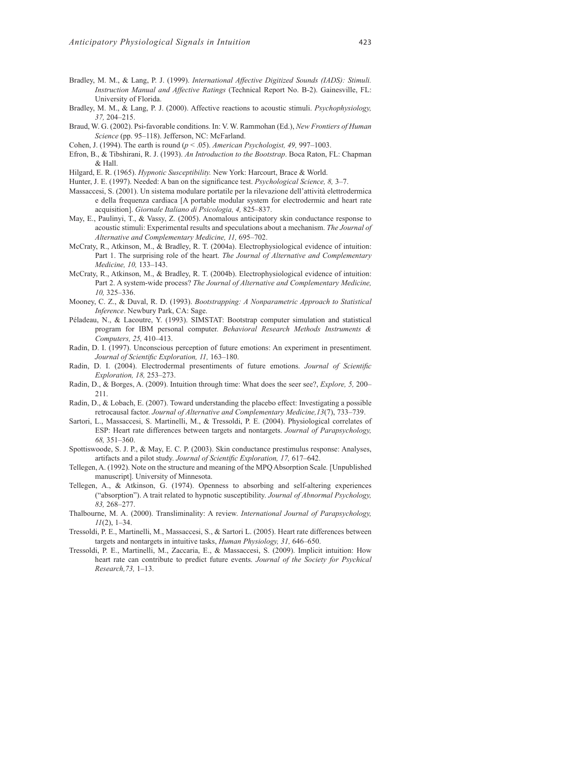- Bradley, M. M., & Lang, P. J. (1999). *International Affective Digitized Sounds (IADS): Stimuli. Instruction Manual and Affective Ratings* (Technical Report No. B-2). Gainesville, FL: University of Florida.
- Bradley, M. M., & Lang, P. J. (2000). Affective reactions to acoustic stimuli. *Psychophysiology, 37,* 204–215.
- Braud, W. G. (2002). Psi**-**favorable conditions. In: V. W. Rammohan (Ed.), *New Frontiers of Human Science* (pp. 95–118). Jefferson, NC: McFarland.
- Cohen, J. (1994). The earth is round (*p* < .05). *American Psychologist, 49,* 997–1003.
- Efron, B., & Tibshirani, R. J. (1993). *An Introduction to the Bootstrap*. Boca Raton, FL: Chapman & Hall.
- Hilgard, E. R. (1965). *Hypnotic Susceptibility.* New York: Harcourt, Brace & World.
- Hunter, J. E. (1997). Needed: A ban on the significance test. *Psychological Science*, 8, 3–7.
- Massaccesi, S. (2001). Un sistema modulare portatile per la rilevazione dell'attività elettrodermica e della frequenza cardiaca [A portable modular system for electrodermic and heart rate acquisition]. *Giornale Italiano di Psicologia, 4,* 825–837.
- May, E., Paulinyi, T., & Vassy, Z. (2005). Anomalous anticipatory skin conductance response to acoustic stimuli: Experimental results and speculations about a mechanism. *The Journal of Alternative and Complementary Medicine, 11,* 695–702.
- McCraty, R., Atkinson, M., & Bradley, R. T. (2004a). Electrophysiological evidence of intuition: Part 1. The surprising role of the heart. *The Journal of Alternative and Complementary Medicine, 10,* 133–143.
- McCraty, R., Atkinson, M., & Bradley, R. T. (2004b). Electrophysiological evidence of intuition: Part 2. A system-wide process? *The Journal of Alternative and Complementary Medicine, 10,* 325–336.
- Mooney, C. Z., & Duval, R. D. (1993). *Bootstrapping: A Nonparametric Approach to Statistical Inference*. Newbury Park, CA: Sage.
- Péladeau, N., & Lacoutre, Y. (1993). SIMSTAT: Bootstrap computer simulation and statistical program for IBM personal computer. *Behavioral Research Methods Instruments & Computers, 25,* 410–413.
- Radin, D. I. (1997). Unconscious perception of future emotions: An experiment in presentiment. Journal of Scientific Exploration, 11, 163-180.
- Radin, D. I. (2004). Electrodermal presentiments of future emotions. *Journal of Scientific Exploration, 18,* 253–273.
- Radin, D., & Borges, A. (2009). Intuition through time: What does the seer see?, *Explore, 5,* 200– 211.
- Radin, D., & Lobach, E. (2007). Toward understanding the placebo effect: Investigating a possible retrocausal factor. *Journal of Alternative and Complementary Medicine,13*(7), 733–739.
- Sartori, L., Massaccesi, S. Martinelli, M., & Tressoldi, P. E. (2004). Physiological correlates of ESP: Heart rate differences between targets and nontargets. *Journal of Parapsychology, 68,* 351–360.
- Spottiswoode, S. J. P., & May, E. C. P. (2003). Skin conductance prestimulus response: Analyses, artifacts and a pilot study. *Journal of Scientific Exploration, 17, 617-642*.
- Tellegen, A. (1992). Note on the structure and meaning of the MPQ Absorption Scale*.* [Unpublished manuscript]. University of Minnesota.
- Tellegen, A., & Atkinson, G. (1974). Openness to absorbing and self-altering experiences ("absorption"). A trait related to hypnotic susceptibility. *Journal of Abnormal Psychology, 83,* 268–277.
- Thalbourne, M. A. (2000). Transliminality: A review. *International Journal of Parapsychology, 11*(2), 1–34.
- Tressoldi, P. E., Martinelli, M., Massaccesi, S., & Sartori L. (2005). Heart rate differences between targets and nontargets in intuitive tasks, *Human Physiology, 31,* 646–650.
- Tressoldi, P. E., Martinelli, M., Zaccaria, E., & Massaccesi, S. (2009). Implicit intuition: How heart rate can contribute to predict future events. *Journal of the Society for Psychical Research,73,* 1–13.